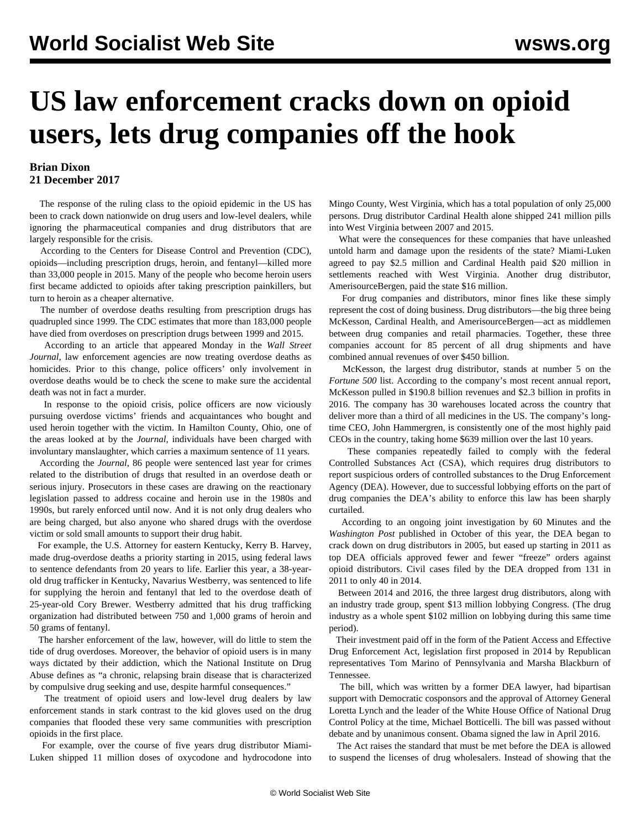## **US law enforcement cracks down on opioid users, lets drug companies off the hook**

## **Brian Dixon 21 December 2017**

 The response of the ruling class to the opioid epidemic in the US has been to crack down nationwide on drug users and low-level dealers, while ignoring the pharmaceutical companies and drug distributors that are largely responsible for the crisis.

 According to the Centers for Disease Control and Prevention (CDC), opioids—including prescription drugs, heroin, and fentanyl—killed more than 33,000 people in 2015. Many of the people who become heroin users first became addicted to opioids after taking prescription painkillers, but turn to heroin as a cheaper alternative.

 The number of overdose deaths resulting from prescription drugs has quadrupled since 1999. The CDC estimates that more than 183,000 people have died from overdoses on prescription drugs between 1999 and 2015.

 According to an article that appeared Monday in the *Wall Street Journal*, law enforcement agencies are now treating overdose deaths as homicides. Prior to this change, police officers' only involvement in overdose deaths would be to check the scene to make sure the accidental death was not in fact a murder.

 In response to the opioid crisis, police officers are now viciously pursuing overdose victims' friends and acquaintances who bought and used heroin together with the victim. In Hamilton County, Ohio, one of the areas looked at by the *Journal*, individuals have been charged with involuntary manslaughter, which carries a maximum sentence of 11 years.

 According the *Journal*, 86 people were sentenced last year for crimes related to the distribution of drugs that resulted in an overdose death or serious injury. Prosecutors in these cases are drawing on the reactionary legislation passed to address cocaine and heroin use in the 1980s and 1990s, but rarely enforced until now. And it is not only drug dealers who are being charged, but also anyone who shared drugs with the overdose victim or sold small amounts to support their drug habit.

 For example, the U.S. Attorney for eastern Kentucky, Kerry B. Harvey, made drug-overdose deaths a priority starting in 2015, using federal laws to sentence defendants from 20 years to life. Earlier this year, a 38-yearold drug trafficker in Kentucky, Navarius Westberry, was sentenced to life for supplying the heroin and fentanyl that led to the overdose death of 25-year-old Cory Brewer. Westberry admitted that his drug trafficking organization had distributed between 750 and 1,000 grams of heroin and 50 grams of fentanyl.

 The harsher enforcement of the law, however, will do little to stem the tide of drug overdoses. Moreover, the behavior of opioid users is in many ways dictated by their addiction, which the National Institute on Drug Abuse defines as "a chronic, relapsing brain disease that is characterized by compulsive drug seeking and use, despite harmful consequences."

 The treatment of opioid users and low-level drug dealers by law enforcement stands in stark contrast to the kid gloves used on the drug companies that flooded these very same communities with prescription opioids in the first place.

 For example, over the course of five years drug distributor Miami-Luken shipped 11 million doses of oxycodone and hydrocodone into Mingo County, West Virginia, which has a total population of only 25,000 persons. Drug distributor Cardinal Health alone shipped 241 million pills into West Virginia between 2007 and 2015.

 What were the consequences for these companies that have unleashed untold harm and damage upon the residents of the state? Miami-Luken agreed to pay \$2.5 million and Cardinal Health paid \$20 million in settlements reached with West Virginia. Another drug distributor, AmerisourceBergen, paid the state \$16 million.

 For drug companies and distributors, minor fines like these simply represent the cost of doing business. [Drug distributors—](/en/articles/2017/02/01/drug-f01.html)the big three being McKesson, Cardinal Health, and AmerisourceBergen—act as middlemen between drug companies and retail pharmacies. Together, these three companies account for 85 percent of all drug shipments and have combined annual revenues of over \$450 billion.

 McKesson, the largest drug distributor, stands at number 5 on the *Fortune 500* list. According to the company's most recent annual report, McKesson pulled in \$190.8 billion revenues and \$2.3 billion in profits in 2016. The company has 30 warehouses located across the country that deliver more than a third of all medicines in the US. The company's longtime CEO, John Hammergren, is consistently one of the most highly paid CEOs in the country, taking home \$639 million over the last 10 years.

 These companies repeatedly failed to comply with the federal Controlled Substances Act (CSA), which requires drug distributors to report suspicious orders of controlled substances to the Drug Enforcement Agency (DEA). However, due to successful lobbying efforts on the part of drug companies the DEA's ability to enforce this law has been sharply curtailed.

 According to an ongoing joint [investigation](/en/articles/2017/10/19/opio-o19.html) by 60 Minutes and the *Washington Post* published in October of this year, the DEA began to crack down on drug distributors in 2005, but eased up starting in 2011 as top DEA officials approved fewer and fewer "freeze" orders against opioid distributors. Civil cases filed by the DEA dropped from 131 in 2011 to only 40 in 2014.

 Between 2014 and 2016, the three largest drug distributors, along with an industry trade group, spent \$13 million lobbying Congress. (The drug industry as a whole spent \$102 million on lobbying during this same time period).

 Their investment paid off in the form of the Patient Access and Effective Drug Enforcement Act, legislation first proposed in 2014 by Republican representatives Tom Marino of Pennsylvania and Marsha Blackburn of Tennessee.

 The bill, which was written by a former DEA lawyer, had [bipartisan](/en/articles/2017/02/01/drug-f01.html) [support](/en/articles/2017/02/01/drug-f01.html) with Democratic cosponsors and the approval of Attorney General Loretta Lynch and the leader of the White House Office of National Drug Control Policy at the time, Michael Botticelli. The bill was passed without debate and by unanimous consent. Obama signed the law in April 2016.

 The Act raises the standard that must be met before the DEA is allowed to suspend the licenses of drug wholesalers. Instead of showing that the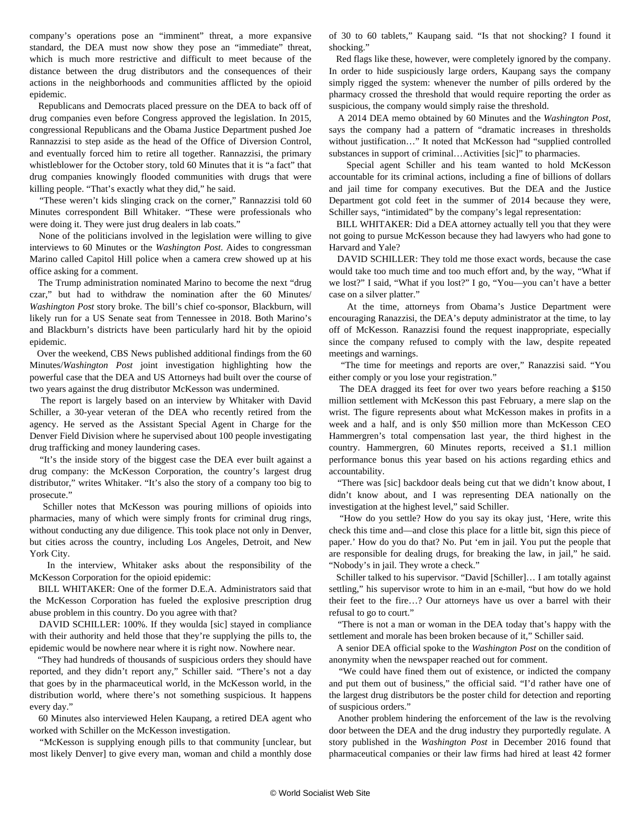company's operations pose an "imminent" threat, a more expansive standard, the DEA must now show they pose an "immediate" threat, which is much more restrictive and difficult to meet because of the distance between the drug distributors and the consequences of their actions in the neighborhoods and communities afflicted by the opioid epidemic.

 Republicans and Democrats placed pressure on the DEA to back off of drug companies even before Congress approved the legislation. In 2015, congressional Republicans and the Obama Justice Department pushed Joe Rannazzisi to step aside as the head of the Office of Diversion Control, and eventually forced him to retire all together. Rannazzisi, the primary whistleblower for the October story, told 60 Minutes that it is "a fact" that drug companies knowingly flooded communities with drugs that were killing people. "That's exactly what they did," he said.

"These weren't kids slinging crack on the corner," Rannazzisi told 60 Minutes correspondent Bill Whitaker. "These were professionals who were doing it. They were just drug dealers in lab coats."

 None of the politicians involved in the legislation were willing to give interviews to 60 Minutes or the *Washington Post*. Aides to congressman Marino called Capitol Hill police when a camera crew showed up at his office asking for a comment.

 The Trump administration nominated Marino to become the next "drug czar," but had to withdraw the nomination after the 60 Minutes/ *Washington Post* story broke. The bill's chief co-sponsor, Blackburn, will likely run for a US Senate seat from Tennessee in 2018. Both Marino's and Blackburn's districts have been particularly hard hit by the opioid epidemic.

 Over the weekend, CBS News published additional findings from the 60 Minutes/*Washington Post* joint investigation highlighting how the powerful case that the DEA and US Attorneys had built over the course of two years against the drug distributor McKesson was undermined.

 The report is largely based on an interview by Whitaker with David Schiller, a 30-year veteran of the DEA who recently retired from the agency. He served as the Assistant Special Agent in Charge for the Denver Field Division where he supervised about 100 people investigating drug trafficking and money laundering cases.

 "It's the inside story of the biggest case the DEA ever built against a drug company: the McKesson Corporation, the country's largest drug distributor," writes Whitaker. "It's also the story of a company too big to prosecute."

 Schiller notes that McKesson was pouring millions of opioids into pharmacies, many of which were simply fronts for criminal drug rings, without conducting any due diligence. This took place not only in Denver, but cities across the country, including Los Angeles, Detroit, and New York City.

 In the interview, Whitaker asks about the responsibility of the McKesson Corporation for the opioid epidemic:

 BILL WHITAKER: One of the former D.E.A. Administrators said that the McKesson Corporation has fueled the explosive prescription drug abuse problem in this country. Do you agree with that?

DAVID SCHILLER: 100%. If they woulda [sic] stayed in compliance with their authority and held those that they're supplying the pills to, the epidemic would be nowhere near where it is right now. Nowhere near.

 "They had hundreds of thousands of suspicious orders they should have reported, and they didn't report any," Schiller said. "There's not a day that goes by in the pharmaceutical world, in the McKesson world, in the distribution world, where there's not something suspicious. It happens every day."

 60 Minutes also interviewed Helen Kaupang, a retired DEA agent who worked with Schiller on the McKesson investigation.

 "McKesson is supplying enough pills to that community [unclear, but most likely Denver] to give every man, woman and child a monthly dose of 30 to 60 tablets," Kaupang said. "Is that not shocking? I found it shocking."

 Red flags like these, however, were completely ignored by the company. In order to hide suspiciously large orders, Kaupang says the company simply rigged the system: whenever the number of pills ordered by the pharmacy crossed the threshold that would require reporting the order as suspicious, the company would simply raise the threshold.

 A 2014 DEA memo obtained by 60 Minutes and the *Washington Post*, says the company had a pattern of "dramatic increases in thresholds without justification…" It noted that McKesson had "supplied controlled substances in support of criminal…Activities [sic]" to pharmacies.

 Special agent Schiller and his team wanted to hold McKesson accountable for its criminal actions, including a fine of billions of dollars and jail time for company executives. But the DEA and the Justice Department got cold feet in the summer of 2014 because they were, Schiller says, "intimidated" by the company's legal representation:

 BILL WHITAKER: Did a DEA attorney actually tell you that they were not going to pursue McKesson because they had lawyers who had gone to Harvard and Yale?

 DAVID SCHILLER: They told me those exact words, because the case would take too much time and too much effort and, by the way, "What if we lost?" I said, "What if you lost?" I go, "You—you can't have a better case on a silver platter."

 At the time, attorneys from Obama's Justice Department were encouraging Ranazzisi, the DEA's deputy administrator at the time, to lay off of McKesson. Ranazzisi found the request inappropriate, especially since the company refused to comply with the law, despite repeated meetings and warnings.

 "The time for meetings and reports are over," Ranazzisi said. "You either comply or you lose your registration."

 The DEA dragged its feet for over two years before reaching a \$150 million settlement with McKesson this past February, a mere slap on the wrist. The figure represents about what McKesson makes in profits in a week and a half, and is only \$50 million more than McKesson CEO Hammergren's total compensation last year, the third highest in the country. Hammergren, 60 Minutes reports, received a \$1.1 million performance bonus this year based on his actions regarding ethics and accountability.

 "There was [sic] backdoor deals being cut that we didn't know about, I didn't know about, and I was representing DEA nationally on the investigation at the highest level," said Schiller.

 "How do you settle? How do you say its okay just, 'Here, write this check this time and—and close this place for a little bit, sign this piece of paper.' How do you do that? No. Put 'em in jail. You put the people that are responsible for dealing drugs, for breaking the law, in jail," he said. "Nobody's in jail. They wrote a check."

 Schiller talked to his supervisor. "David [Schiller]… I am totally against settling," his supervisor wrote to him in an e-mail, "but how do we hold their feet to the fire…? Our attorneys have us over a barrel with their refusal to go to court."

 "There is not a man or woman in the DEA today that's happy with the settlement and morale has been broken because of it," Schiller said.

 A senior DEA official spoke to the *Washington Post* on the condition of anonymity when the newspaper reached out for comment.

 "We could have fined them out of existence, or indicted the company and put them out of business," the official said. "I'd rather have one of the largest drug distributors be the poster child for detection and reporting of suspicious orders."

 Another problem hindering the enforcement of the law is the revolving door between the DEA and the drug industry they purportedly regulate. A story published in the *Washington Post* in December 2016 found that pharmaceutical companies or their law firms had hired at least 42 former